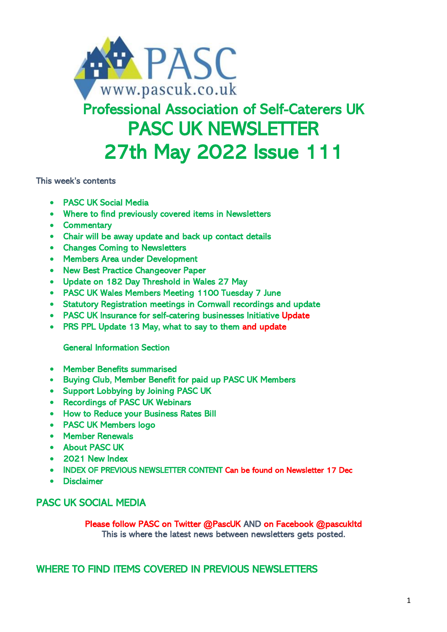

# Professional Association of Self-Caterers UK PASC UK NEWSLETTER 27th May 2022 Issue 111

This week's contents

- PASC UK Social Media
- Where to find previously covered items in Newsletters
- Commentary
- Chair will be away update and back up contact details
- Changes Coming to Newsletters
- Members Area under Development
- New Best Practice Changeover Paper
- Update on 182 Day Threshold in Wales 27 May
- PASC UK Wales Members Meeting 1100 Tuesday 7 June
- Statutory Registration meetings in Cornwall recordings and update
- PASC UK Insurance for self-catering businesses Initiative Update
- PRS PPL Update 13 May, what to say to them and update

General Information Section

- Member Benefits summarised
- Buying Club, Member Benefit for paid up PASC UK Members
- Support Lobbying by Joining PASC UK
- Recordings of PASC UK Webinars
- How to Reduce your Business Rates Bill
- PASC UK Members logo
- Member Renewals
- About PASC UK
- 2021 New Index
- INDEX OF PREVIOUS NEWSLETTER CONTENT Can be found on Newsletter 17 Dec
- Disclaimer

## PASC UK SOCIAL MEDIA

Please follow PASC on Twitter @PascUK AND on Facebook @pascukltd This is where the latest news between newsletters gets posted.

WHERE TO FIND ITEMS COVERED IN PREVIOUS NEWSLETTERS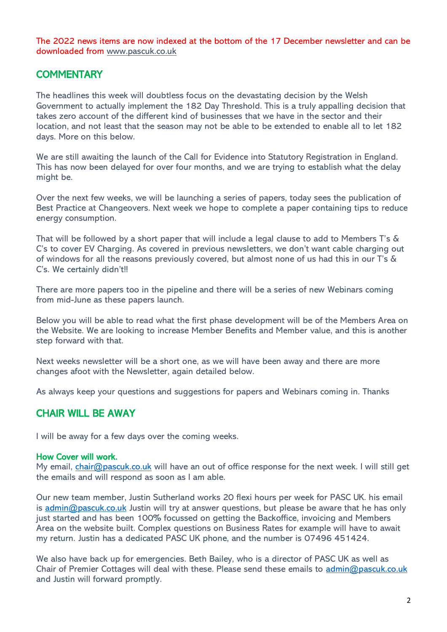The 2022 news items are now indexed at the bottom of the 17 December newsletter and can be downloaded from [www.pascuk.co.uk](http://www.pascuk.co.uk/)

## **COMMENTARY**

The headlines this week will doubtless focus on the devastating decision by the Welsh Government to actually implement the 182 Day Threshold. This is a truly appalling decision that takes zero account of the different kind of businesses that we have in the sector and their location, and not least that the season may not be able to be extended to enable all to let 182 days. More on this below.

We are still awaiting the launch of the Call for Evidence into Statutory Registration in England. This has now been delayed for over four months, and we are trying to establish what the delay might be.

Over the next few weeks, we will be launching a series of papers, today sees the publication of Best Practice at Changeovers. Next week we hope to complete a paper containing tips to reduce energy consumption.

That will be followed by a short paper that will include a legal clause to add to Members T's & C's to cover EV Charging. As covered in previous newsletters, we don't want cable charging out of windows for all the reasons previously covered, but almost none of us had this in our T's & C's. We certainly didn't!!

There are more papers too in the pipeline and there will be a series of new Webinars coming from mid-June as these papers launch.

Below you will be able to read what the first phase development will be of the Members Area on the Website. We are looking to increase Member Benefits and Member value, and this is another step forward with that.

Next weeks newsletter will be a short one, as we will have been away and there are more changes afoot with the Newsletter, again detailed below.

As always keep your questions and suggestions for papers and Webinars coming in. Thanks

## CHAIR WILL BE AWAY

I will be away for a few days over the coming weeks.

#### How Cover will work.

My email, *chair@pascuk.co.uk* will have an out of office response for the next week. I will still get the emails and will respond as soon as I am able.

Our new team member, Justin Sutherland works 20 flexi hours per week for PASC UK. his email is  $\frac{\text{admin}(\mathcal{O})}{\text{a} \cdot \text{b}}$  pascuk.co.uk Justin will try at answer questions, but please be aware that he has only just started and has been 100% focussed on getting the Backoffice, invoicing and Members Area on the website built. Complex questions on Business Rates for example will have to await my return. Justin has a dedicated PASC UK phone, and the number is 07496 451424.

We also have back up for emergencies. Beth Bailey, who is a director of PASC UK as well as Chair of Premier Cottages will deal with these. Please send these emails to [admin@pascuk.co.uk](mailto:admin@pascuk.co.uk) and Justin will forward promptly.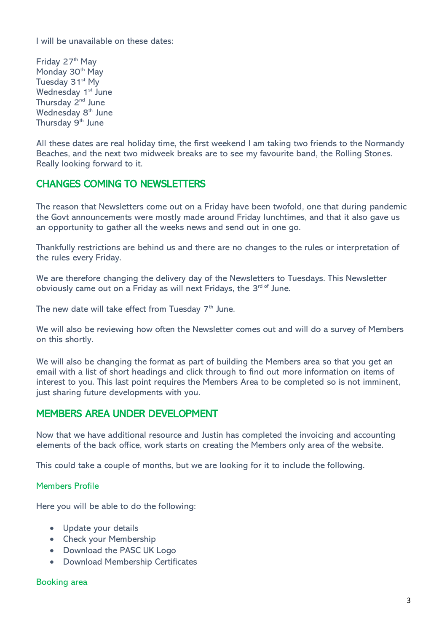I will be unavailable on these dates:

Friday 27<sup>th</sup> May Monday 30<sup>th</sup> May Tuesday 31<sup>st</sup> My Wednesday 1<sup>st</sup> June Thursday 2<sup>nd</sup> June Wednesday 8<sup>th</sup> June Thursday 9<sup>th</sup> June

All these dates are real holiday time, the first weekend I am taking two friends to the Normandy Beaches, and the next two midweek breaks are to see my favourite band, the Rolling Stones. Really looking forward to it.

# CHANGES COMING TO NEWSLETTERS

The reason that Newsletters come out on a Friday have been twofold, one that during pandemic the Govt announcements were mostly made around Friday lunchtimes, and that it also gave us an opportunity to gather all the weeks news and send out in one go.

Thankfully restrictions are behind us and there are no changes to the rules or interpretation of the rules every Friday.

We are therefore changing the delivery day of the Newsletters to Tuesdays. This Newsletter obviously came out on a Friday as will next Fridays, the 3<sup>rd of</sup> June.

The new date will take effect from Tuesday  $7<sup>th</sup>$  June.

We will also be reviewing how often the Newsletter comes out and will do a survey of Members on this shortly.

We will also be changing the format as part of building the Members area so that you get an email with a list of short headings and click through to find out more information on items of interest to you. This last point requires the Members Area to be completed so is not imminent, just sharing future developments with you.

## MEMBERS AREA UNDER DEVELOPMENT

Now that we have additional resource and Justin has completed the invoicing and accounting elements of the back office, work starts on creating the Members only area of the website.

This could take a couple of months, but we are looking for it to include the following.

#### Members Profile

Here you will be able to do the following:

- Update your details
- Check your Membership
- Download the PASC UK Logo
- Download Membership Certificates

#### Booking area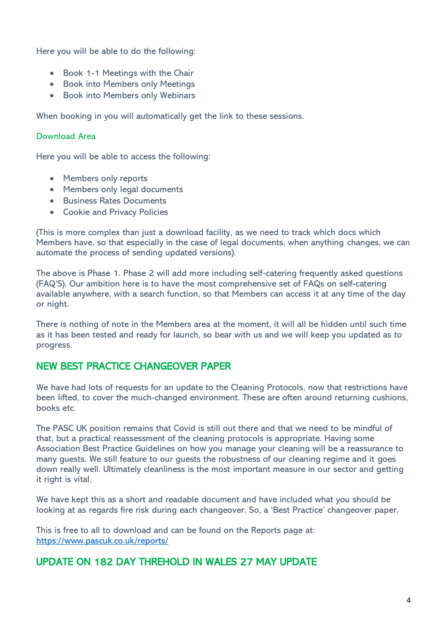Here you will be able to do the following:

- Book 1-1 Meetings with the Chair
- Book into Members only Meetings
- Book into Members only Webinars

When booking in you will automatically get the link to these sessions.

#### Download Area

Here you will be able to access the following:

- Members only reports
- Members only legal documents
- Business Rates Documents
- Cookie and Privacy Policies

(This is more complex than just a download facility, as we need to track which docs which Members have, so that especially in the case of legal documents, when anything changes, we can automate the process of sending updated versions).

The above is Phase 1. Phase 2 will add more including self-catering frequently asked questions (FAQ'S). Our ambition here is to have the most comprehensive set of FAQs on self-catering available anywhere, with a search function, so that Members can access it at any time of the day or night.

There is nothing of note in the Members area at the moment, it will all be hidden until such time as it has been tested and ready for launch, so bear with us and we will keep you updated as to progress.

## NEW BEST PRACTICE CHANGEOVER PAPER

We have had lots of requests for an update to the Cleaning Protocols, now that restrictions have been lifted, to cover the much-changed environment. These are often around returning cushions, books etc.

The PASC UK position remains that Covid is still out there and that we need to be mindful of that, but a practical reassessment of the cleaning protocols is appropriate. Having some Association Best Practice Guidelines on how you manage your cleaning will be a reassurance to many guests. We still feature to our guests the robustness of our cleaning regime and it goes down really well. Ultimately cleanliness is the most important measure in our sector and getting it right is vital.

We have kept this as a short and readable document and have included what you should be looking at as regards fire risk during each changeover. So, a 'Best Practice' changeover paper.

This is free to all to download and can be found on the Reports page at: <https://www.pascuk.co.uk/reports/>

## UPDATE ON 182 DAY THREHOLD IN WALES 27 MAY UPDATE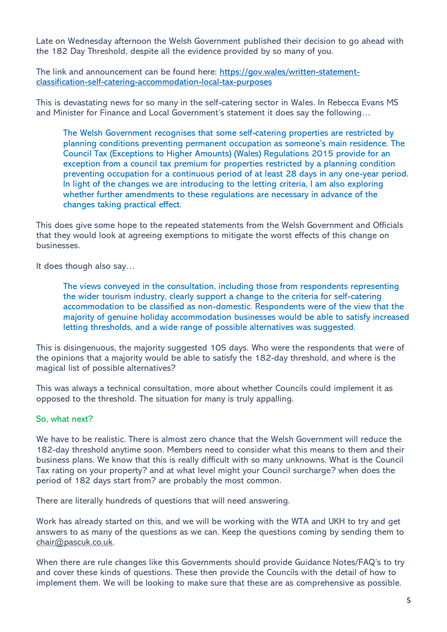Late on Wednesday afternoon the Welsh Government published their decision to go ahead with the 182 Day Threshold, despite all the evidence provided by so many of you.

The link and announcement can be found here: [https://gov.wales/written-statement](https://gov.wales/written-statement-classification-self-catering-accommodation-local-tax-purposes)[classification-self-catering-accommodation-local-tax-purposes](https://gov.wales/written-statement-classification-self-catering-accommodation-local-tax-purposes)

This is devastating news for so many in the self-catering sector in Wales. In Rebecca Evans MS and Minister for Finance and Local Government's statement it does say the following…

The Welsh Government recognises that some self-catering properties are restricted by planning conditions preventing permanent occupation as someone's main residence. The Council Tax (Exceptions to Higher Amounts) (Wales) Regulations 2015 provide for an exception from a council tax premium for properties restricted by a planning condition preventing occupation for a continuous period of at least 28 days in any one-year period. In light of the changes we are introducing to the letting criteria, I am also exploring whether further amendments to these regulations are necessary in advance of the changes taking practical effect.

This does give some hope to the repeated statements from the Welsh Government and Officials that they would look at agreeing exemptions to mitigate the worst effects of this change on businesses.

It does though also say…

The views conveyed in the consultation, including those from respondents representing the wider tourism industry, clearly support a change to the criteria for self-catering accommodation to be classified as non-domestic. Respondents were of the view that the majority of genuine holiday accommodation businesses would be able to satisfy increased letting thresholds, and a wide range of possible alternatives was suggested.

This is disingenuous, the majority suggested 105 days. Who were the respondents that were of the opinions that a majority would be able to satisfy the 182-day threshold, and where is the magical list of possible alternatives?

This was always a technical consultation, more about whether Councils could implement it as opposed to the threshold. The situation for many is truly appalling.

#### So, what next?

We have to be realistic. There is almost zero chance that the Welsh Government will reduce the 182-day threshold anytime soon. Members need to consider what this means to them and their business plans. We know that this is really difficult with so many unknowns. What is the Council Tax rating on your property? and at what level might your Council surcharge? when does the period of 182 days start from? are probably the most common.

There are literally hundreds of questions that will need answering.

Work has already started on this, and we will be working with the WTA and UKH to try and get answers to as many of the questions as we can. Keep the questions coming by sending them to [chair@pascuk.co.uk.](mailto:chair@pascuk.co.uk)

When there are rule changes like this Governments should provide Guidance Notes/FAQ's to try and cover these kinds of questions. These then provide the Councils with the detail of how to implement them. We will be looking to make sure that these are as comprehensive as possible.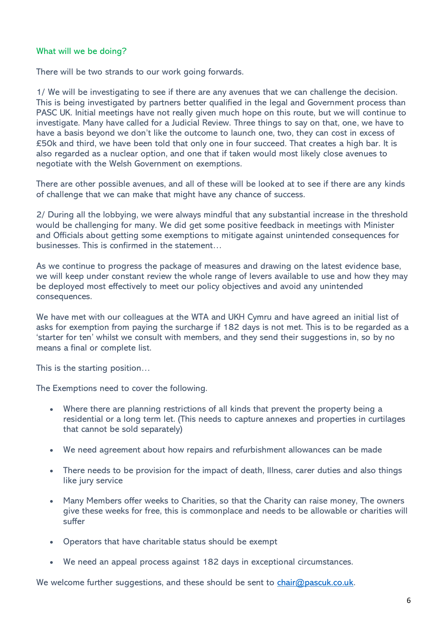#### What will we be doing?

There will be two strands to our work going forwards.

1/ We will be investigating to see if there are any avenues that we can challenge the decision. This is being investigated by partners better qualified in the legal and Government process than PASC UK. Initial meetings have not really given much hope on this route, but we will continue to investigate. Many have called for a Judicial Review. Three things to say on that, one, we have to have a basis beyond we don't like the outcome to launch one, two, they can cost in excess of £50k and third, we have been told that only one in four succeed. That creates a high bar. It is also regarded as a nuclear option, and one that if taken would most likely close avenues to negotiate with the Welsh Government on exemptions.

There are other possible avenues, and all of these will be looked at to see if there are any kinds of challenge that we can make that might have any chance of success.

2/ During all the lobbying, we were always mindful that any substantial increase in the threshold would be challenging for many. We did get some positive feedback in meetings with Minister and Officials about getting some exemptions to mitigate against unintended consequences for businesses. This is confirmed in the statement…

As we continue to progress the package of measures and drawing on the latest evidence base, we will keep under constant review the whole range of levers available to use and how they may be deployed most effectively to meet our policy objectives and avoid any unintended consequences.

We have met with our colleagues at the WTA and UKH Cymru and have agreed an initial list of asks for exemption from paying the surcharge if 182 days is not met. This is to be regarded as a 'starter for ten' whilst we consult with members, and they send their suggestions in, so by no means a final or complete list.

This is the starting position…

The Exemptions need to cover the following.

- Where there are planning restrictions of all kinds that prevent the property being a residential or a long term let. (This needs to capture annexes and properties in curtilages that cannot be sold separately)
- We need agreement about how repairs and refurbishment allowances can be made
- There needs to be provision for the impact of death, Illness, carer duties and also things like jury service
- Many Members offer weeks to Charities, so that the Charity can raise money, The owners give these weeks for free, this is commonplace and needs to be allowable or charities will suffer
- Operators that have charitable status should be exempt
- We need an appeal process against 182 days in exceptional circumstances.

We welcome further suggestions, and these should be sent to  $\frac{\text{chair@pascuk.co.uk.}}{\text{!}}$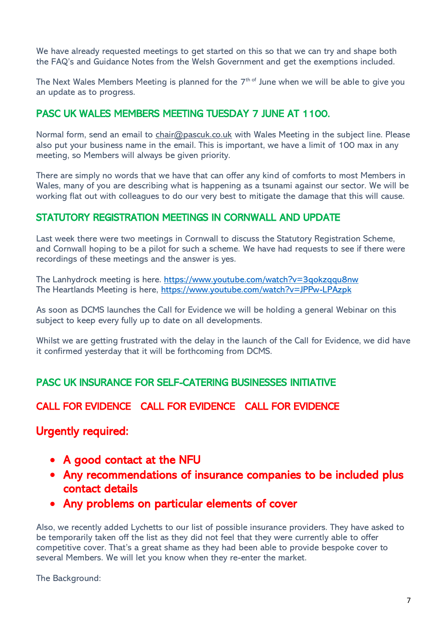We have already requested meetings to get started on this so that we can try and shape both the FAQ's and Guidance Notes from the Welsh Government and get the exemptions included.

The Next Wales Members Meeting is planned for the  $7^\mathrm{th \, of}$  June when we will be able to give you an update as to progress.

# PASC UK WALES MEMBERS MEETING TUESDAY 7 JUNE AT 1100.

Normal form, send an email to [chair@pascuk.co.uk](mailto:chair@pascuk.co.uk) with Wales Meeting in the subject line. Please also put your business name in the email. This is important, we have a limit of 100 max in any meeting, so Members will always be given priority.

There are simply no words that we have that can offer any kind of comforts to most Members in Wales, many of you are describing what is happening as a tsunami against our sector. We will be working flat out with colleagues to do our very best to mitigate the damage that this will cause.

# STATUTORY REGISTRATION MEETINGS IN CORNWALL AND UPDATE

Last week there were two meetings in Cornwall to discuss the Statutory Registration Scheme, and Cornwall hoping to be a pilot for such a scheme. We have had requests to see if there were recordings of these meetings and the answer is yes.

The Lanhydrock meeting is here.<https://www.youtube.com/watch?v=3qokzqqu8nw> The Heartlands Meeting is here, <https://www.youtube.com/watch?v=JPPw-LPAzpk>

As soon as DCMS launches the Call for Evidence we will be holding a general Webinar on this subject to keep every fully up to date on all developments.

Whilst we are getting frustrated with the delay in the launch of the Call for Evidence, we did have it confirmed yesterday that it will be forthcoming from DCMS.

# PASC UK INSURANCE FOR SELF-CATERING BUSINESSES INITIATIVE

# CALL FOR EVIDENCE CALL FOR EVIDENCE CALL FOR EVIDENCE

# Urgently required:

- A good contact at the NFU
- Any recommendations of insurance companies to be included plus contact details
- Any problems on particular elements of cover

Also, we recently added Lychetts to our list of possible insurance providers. They have asked to be temporarily taken off the list as they did not feel that they were currently able to offer competitive cover. That's a great shame as they had been able to provide bespoke cover to several Members. We will let you know when they re-enter the market.

The Background: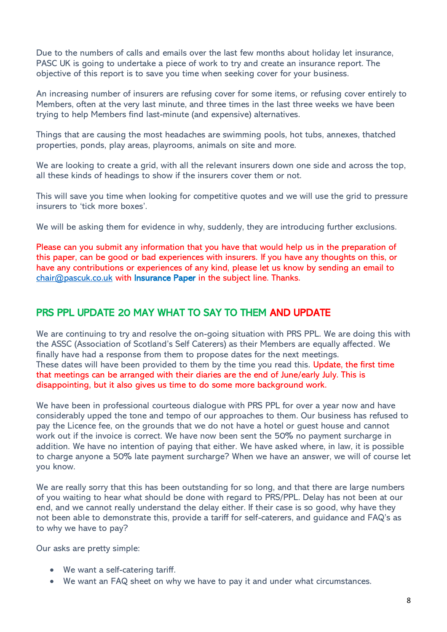Due to the numbers of calls and emails over the last few months about holiday let insurance, PASC UK is going to undertake a piece of work to try and create an insurance report. The objective of this report is to save you time when seeking cover for your business.

An increasing number of insurers are refusing cover for some items, or refusing cover entirely to Members, often at the very last minute, and three times in the last three weeks we have been trying to help Members find last-minute (and expensive) alternatives.

Things that are causing the most headaches are swimming pools, hot tubs, annexes, thatched properties, ponds, play areas, playrooms, animals on site and more.

We are looking to create a grid, with all the relevant insurers down one side and across the top, all these kinds of headings to show if the insurers cover them or not.

This will save you time when looking for competitive quotes and we will use the grid to pressure insurers to 'tick more boxes'.

We will be asking them for evidence in why, suddenly, they are introducing further exclusions.

Please can you submit any information that you have that would help us in the preparation of this paper, can be good or bad experiences with insurers. If you have any thoughts on this, or have any contributions or experiences of any kind, please let us know by sending an email to [chair@pascuk.co.uk](mailto:chair@pascuk.co.uk) with Insurance Paper in the subject line. Thanks.

## PRS PPL UPDATE 20 MAY WHAT TO SAY TO THEM AND UPDATE

We are continuing to try and resolve the on-going situation with PRS PPL. We are doing this with the ASSC (Association of Scotland's Self Caterers) as their Members are equally affected. We finally have had a response from them to propose dates for the next meetings. These dates will have been provided to them by the time you read this. Update, the first time that meetings can be arranged with their diaries are the end of June/early July. This is disappointing, but it also gives us time to do some more background work.

We have been in professional courteous dialogue with PRS PPL for over a year now and have considerably upped the tone and tempo of our approaches to them. Our business has refused to pay the Licence fee, on the grounds that we do not have a hotel or guest house and cannot work out if the invoice is correct. We have now been sent the 50% no payment surcharge in addition. We have no intention of paying that either. We have asked where, in law, it is possible to charge anyone a 50% late payment surcharge? When we have an answer, we will of course let you know.

We are really sorry that this has been outstanding for so long, and that there are large numbers of you waiting to hear what should be done with regard to PRS/PPL. Delay has not been at our end, and we cannot really understand the delay either. If their case is so good, why have they not been able to demonstrate this, provide a tariff for self-caterers, and guidance and FAQ's as to why we have to pay?

Our asks are pretty simple:

- We want a self-catering tariff.
- We want an FAQ sheet on why we have to pay it and under what circumstances.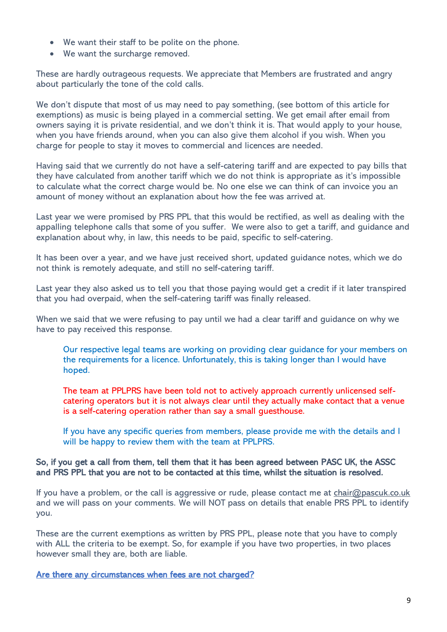- We want their staff to be polite on the phone.
- We want the surcharge removed.

These are hardly outrageous requests. We appreciate that Members are frustrated and angry about particularly the tone of the cold calls.

We don't dispute that most of us may need to pay something, (see bottom of this article for exemptions) as music is being played in a commercial setting. We get email after email from owners saying it is private residential, and we don't think it is. That would apply to your house, when you have friends around, when you can also give them alcohol if you wish. When you charge for people to stay it moves to commercial and licences are needed.

Having said that we currently do not have a self-catering tariff and are expected to pay bills that they have calculated from another tariff which we do not think is appropriate as it's impossible to calculate what the correct charge would be. No one else we can think of can invoice you an amount of money without an explanation about how the fee was arrived at.

Last year we were promised by PRS PPL that this would be rectified, as well as dealing with the appalling telephone calls that some of you suffer. We were also to get a tariff, and guidance and explanation about why, in law, this needs to be paid, specific to self-catering.

It has been over a year, and we have just received short, updated guidance notes, which we do not think is remotely adequate, and still no self-catering tariff.

Last year they also asked us to tell you that those paying would get a credit if it later transpired that you had overpaid, when the self-catering tariff was finally released.

When we said that we were refusing to pay until we had a clear tariff and guidance on why we have to pay received this response.

Our respective legal teams are working on providing clear guidance for your members on the requirements for a licence. Unfortunately, this is taking longer than I would have hoped.

The team at PPLPRS have been told not to actively approach currently unlicensed selfcatering operators but it is not always clear until they actually make contact that a venue is a self-catering operation rather than say a small guesthouse.

If you have any specific queries from members, please provide me with the details and I will be happy to review them with the team at PPLPRS.

#### So, if you get a call from them, tell them that it has been agreed between PASC UK, the ASSC and PRS PPL that you are not to be contacted at this time, whilst the situation is resolved.

If you have a problem, or the call is aggressive or rude, please contact me at  $\frac{\text{chair@pascuk.co.uk}}{\text{!}}$ and we will pass on your comments. We will NOT pass on details that enable PRS PPL to identify you.

These are the current exemptions as written by PRS PPL, please note that you have to comply with ALL the criteria to be exempt. So, for example if you have two properties, in two places however small they are, both are liable.

Are there any circumstances when fees are not charged?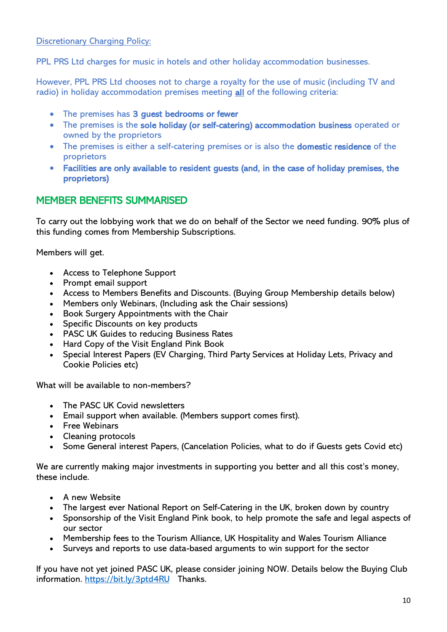Discretionary Charging Policy:

PPL PRS Ltd charges for music in hotels and other holiday accommodation businesses.

However, PPL PRS Ltd chooses not to charge a royalty for the use of music (including TV and radio) in holiday accommodation premises meeting all of the following criteria:

- The premises has 3 guest bedrooms or fewer
- The premises is the sole holiday (or self-catering) accommodation business operated or owned by the proprietors
- The premises is either a self-catering premises or is also the **domestic residence** of the proprietors
- Facilities are only available to resident guests (and, in the case of holiday premises, the proprietors)

# MEMBER BENEFITS SUMMARISED

To carry out the lobbying work that we do on behalf of the Sector we need funding. 90% plus of this funding comes from Membership Subscriptions.

Members will get.

- Access to Telephone Support
- Prompt email support
- Access to Members Benefits and Discounts. (Buying Group Membership details below)
- Members only Webinars, (Including ask the Chair sessions)
- Book Surgery Appointments with the Chair
- Specific Discounts on key products
- PASC UK Guides to reducing Business Rates
- Hard Copy of the Visit England Pink Book
- Special Interest Papers (EV Charging, Third Party Services at Holiday Lets, Privacy and Cookie Policies etc)

What will be available to non-members?

- The PASC UK Covid newsletters
- Email support when available. (Members support comes first).
- Free Webinars
- Cleaning protocols
- Some General interest Papers, (Cancelation Policies, what to do if Guests gets Covid etc)

We are currently making major investments in supporting you better and all this cost's money, these include.

- A new Website
- The largest ever National Report on Self-Catering in the UK, broken down by country
- Sponsorship of the Visit England Pink book, to help promote the safe and legal aspects of our sector
- Membership fees to the Tourism Alliance, UK Hospitality and Wales Tourism Alliance
- Surveys and reports to use data-based arguments to win support for the sector

If you have not yet joined PASC UK, please consider joining NOW. Details below the Buying Club information.<https://bit.ly/3ptd4RU>Thanks.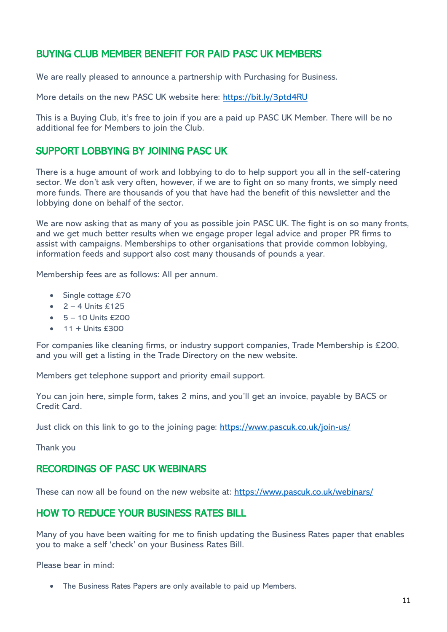# BUYING CLUB MEMBER BENEFIT FOR PAID PASC UK MEMBERS

We are really pleased to announce a partnership with Purchasing for Business.

More details on the new PASC UK website here:<https://bit.ly/3ptd4RU>

This is a Buying Club, it's free to join if you are a paid up PASC UK Member. There will be no additional fee for Members to join the Club.

# SUPPORT LOBBYING BY JOINING PASC UK

There is a huge amount of work and lobbying to do to help support you all in the self-catering sector. We don't ask very often, however, if we are to fight on so many fronts, we simply need more funds. There are thousands of you that have had the benefit of this newsletter and the lobbying done on behalf of the sector.

We are now asking that as many of you as possible join PASC UK. The fight is on so many fronts, and we get much better results when we engage proper legal advice and proper PR firms to assist with campaigns. Memberships to other organisations that provide common lobbying, information feeds and support also cost many thousands of pounds a year.

Membership fees are as follows: All per annum.

- Single cottage £70
- $\bullet$  2 4 Units £125
- $\bullet$  5 10 Units £200
- 11 + Units £300

For companies like cleaning firms, or industry support companies, Trade Membership is £200, and you will get a listing in the Trade Directory on the new website.

Members get telephone support and priority email support.

You can join here, simple form, takes 2 mins, and you'll get an invoice, payable by BACS or Credit Card.

Just click on this link to go to the joining page:<https://www.pascuk.co.uk/join-us/>

Thank you

## RECORDINGS OF PASC UK WEBINARS

These can now all be found on the new website at: <https://www.pascuk.co.uk/webinars/>

## HOW TO REDUCE YOUR BUSINESS RATES BILL

Many of you have been waiting for me to finish updating the Business Rates paper that enables you to make a self 'check' on your Business Rates Bill.

Please bear in mind:

• The Business Rates Papers are only available to paid up Members.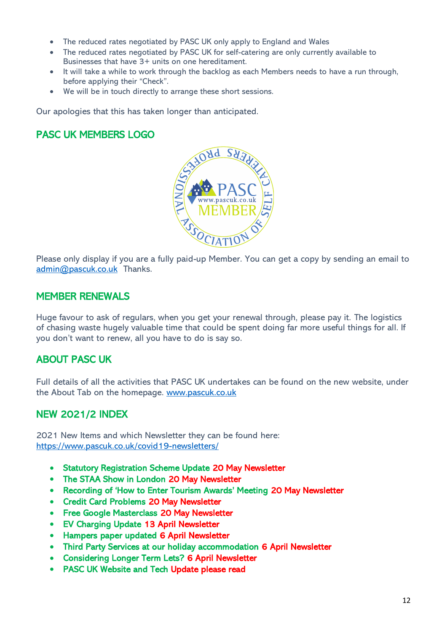- The reduced rates negotiated by PASC UK only apply to England and Wales
- The reduced rates negotiated by PASC UK for self-catering are only currently available to Businesses that have 3+ units on one hereditament.
- It will take a while to work through the backlog as each Members needs to have a run through, before applying their "Check".
- We will be in touch directly to arrange these short sessions.

Our apologies that this has taken longer than anticipated.

# PASC UK MEMBERS LOGO



Please only display if you are a fully paid-up Member. You can get a copy by sending an email to [admin@pascuk.co.uk](mailto:admin@pascuk.co.uk) Thanks.

## MEMBER RENEWALS

Huge favour to ask of regulars, when you get your renewal through, please pay it. The logistics of chasing waste hugely valuable time that could be spent doing far more useful things for all. If you don't want to renew, all you have to do is say so.

# ABOUT PASC UK

Full details of all the activities that PASC UK undertakes can be found on the new website, under the About Tab on the homepage. [www.pascuk.co.uk](http://www.pascuk.co.uk/)

# NEW 2021/2 INDEX

2021 New Items and which Newsletter they can be found here: <https://www.pascuk.co.uk/covid19-newsletters/>

- Statutory Registration Scheme Update 20 May Newsletter
- The STAA Show in London 20 May Newsletter
- Recording of 'How to Enter Tourism Awards' Meeting 20 May Newsletter
- Credit Card Problems 20 May Newsletter
- Free Google Masterclass 20 May Newsletter
- EV Charging Update 13 April Newsletter
- Hampers paper updated 6 April Newsletter
- Third Party Services at our holiday accommodation 6 April Newsletter
- Considering Longer Term Lets? 6 April Newsletter
- PASC UK Website and Tech Update please read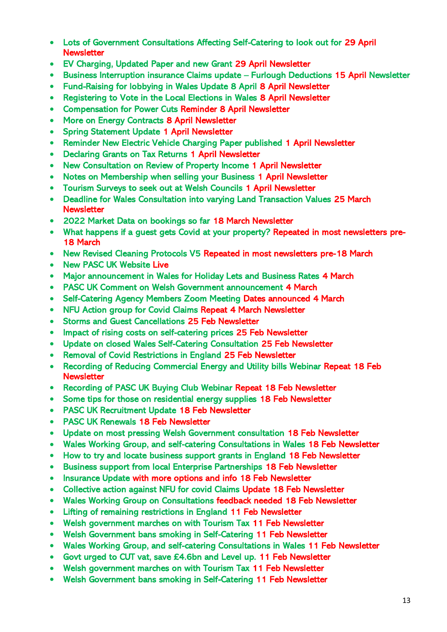- Lots of Government Consultations Affecting Self-Catering to look out for 29 April **Newsletter**
- EV Charging, Updated Paper and new Grant 29 April Newsletter
- Business Interruption insurance Claims update Furlough Deductions 15 April Newsletter
- Fund-Raising for lobbying in Wales Update 8 April 8 April Newsletter
- Registering to Vote in the Local Elections in Wales 8 April Newsletter
- Compensation for Power Cuts Reminder 8 April Newsletter
- More on Energy Contracts 8 April Newsletter
- Spring Statement Update 1 April Newsletter
- Reminder New Electric Vehicle Charging Paper published 1 April Newsletter
- Declaring Grants on Tax Returns 1 April Newsletter
- New Consultation on Review of Property Income 1 April Newsletter
- Notes on Membership when selling your Business 1 April Newsletter
- Tourism Surveys to seek out at Welsh Councils 1 April Newsletter
- Deadline for Wales Consultation into varying Land Transaction Values 25 March **Newsletter**
- 2022 Market Data on bookings so far 18 March Newsletter
- What happens if a guest gets Covid at your property? Repeated in most newsletters pre-18 March
- New Revised Cleaning Protocols V5 Repeated in most newsletters pre-18 March
- New PASC UK Website Live
- Major announcement in Wales for Holiday Lets and Business Rates 4 March
- PASC UK Comment on Welsh Government announcement 4 March
- Self-Catering Agency Members Zoom Meeting Dates announced 4 March
- NFU Action group for Covid Claims Repeat 4 March Newsletter
- Storms and Guest Cancellations 25 Feb Newsletter
- Impact of rising costs on self-catering prices 25 Feb Newsletter
- Update on closed Wales Self-Catering Consultation 25 Feb Newsletter
- Removal of Covid Restrictions in England 25 Feb Newsletter
- Recording of Reducing Commercial Energy and Utility bills Webinar Repeat 18 Feb **Newsletter**
- Recording of PASC UK Buying Club Webinar Repeat 18 Feb Newsletter
- Some tips for those on residential energy supplies 18 Feb Newsletter
- PASC UK Recruitment Update 18 Feb Newsletter
- PASC UK Renewals 18 Feb Newsletter
- Update on most pressing Welsh Government consultation 18 Feb Newsletter
- Wales Working Group, and self-catering Consultations in Wales 18 Feb Newsletter
- How to try and locate business support grants in England 18 Feb Newsletter
- Business support from local Enterprise Partnerships 18 Feb Newsletter
- Insurance Update with more options and info 18 Feb Newsletter
- Collective action against NFU for covid Claims Update 18 Feb Newsletter
- Wales Working Group on Consultations feedback needed 18 Feb Newsletter
- Lifting of remaining restrictions in England 11 Feb Newsletter
- Welsh government marches on with Tourism Tax 11 Feb Newsletter
- Welsh Government bans smoking in Self-Catering 11 Feb Newsletter
- Wales Working Group, and self-catering Consultations in Wales 11 Feb Newsletter
- Govt urged to CUT vat, save £4.6bn and Level up. 11 Feb Newsletter
- Welsh government marches on with Tourism Tax 11 Feb Newsletter
- Welsh Government bans smoking in Self-Catering 11 Feb Newsletter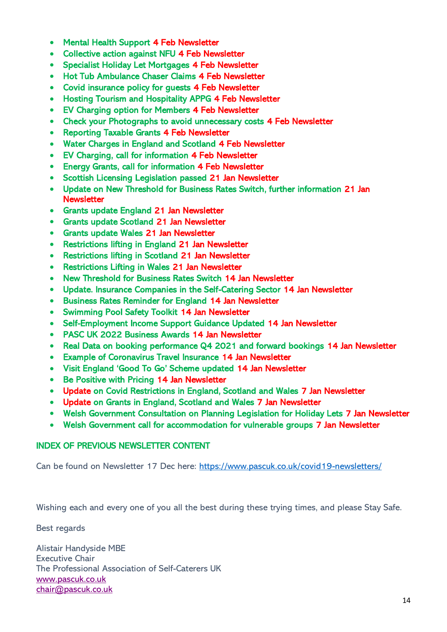- Mental Health Support 4 Feb Newsletter
- Collective action against NFU 4 Feb Newsletter
- Specialist Holiday Let Mortgages 4 Feb Newsletter
- Hot Tub Ambulance Chaser Claims 4 Feb Newsletter
- Covid insurance policy for guests 4 Feb Newsletter
- Hosting Tourism and Hospitality APPG 4 Feb Newsletter
- EV Charging option for Members 4 Feb Newsletter
- Check your Photographs to avoid unnecessary costs 4 Feb Newsletter
- Reporting Taxable Grants 4 Feb Newsletter
- Water Charges in England and Scotland 4 Feb Newsletter
- EV Charging, call for information 4 Feb Newsletter
- Energy Grants, call for information 4 Feb Newsletter
- Scottish Licensing Legislation passed 21 Jan Newsletter
- Update on New Threshold for Business Rates Switch, further information 21 Jan **Newsletter**
- Grants update England 21 Jan Newsletter
- Grants update Scotland 21 Jan Newsletter
- Grants update Wales 21 Jan Newsletter
- Restrictions lifting in England 21 Jan Newsletter
- Restrictions lifting in Scotland 21 Jan Newsletter
- Restrictions Lifting in Wales 21 Jan Newsletter
- New Threshold for Business Rates Switch 14 Jan Newsletter
- Update. Insurance Companies in the Self-Catering Sector 14 Jan Newsletter
- Business Rates Reminder for England 14 Jan Newsletter
- Swimming Pool Safety Toolkit 14 Jan Newsletter
- Self-Employment Income Support Guidance Updated 14 Jan Newsletter
- PASC UK 2022 Business Awards 14 Jan Newsletter
- Real Data on booking performance Q4 2021 and forward bookings 14 Jan Newsletter
- Example of Coronavirus Travel Insurance 14 Jan Newsletter
- Visit England 'Good To Go' Scheme updated 14 Jan Newsletter
- Be Positive with Pricing 14 Jan Newsletter
- Update on Covid Restrictions in England, Scotland and Wales 7 Jan Newsletter
- Update on Grants in England, Scotland and Wales 7 Jan Newsletter
- Welsh Government Consultation on Planning Legislation for Holiday Lets 7 Jan Newsletter
- Welsh Government call for accommodation for vulnerable groups 7 Jan Newsletter

## INDEX OF PREVIOUS NEWSLETTER CONTENT

Can be found on Newsletter 17 Dec here:<https://www.pascuk.co.uk/covid19-newsletters/>

Wishing each and every one of you all the best during these trying times, and please Stay Safe.

Best regards

Alistair Handyside MBE Executive Chair The Professional Association of Self-Caterers UK [www.pascuk.co.uk](http://www.pascuk.co.uk/) [chair@pascuk.co.uk](mailto:chair@pascuk.co.uk)